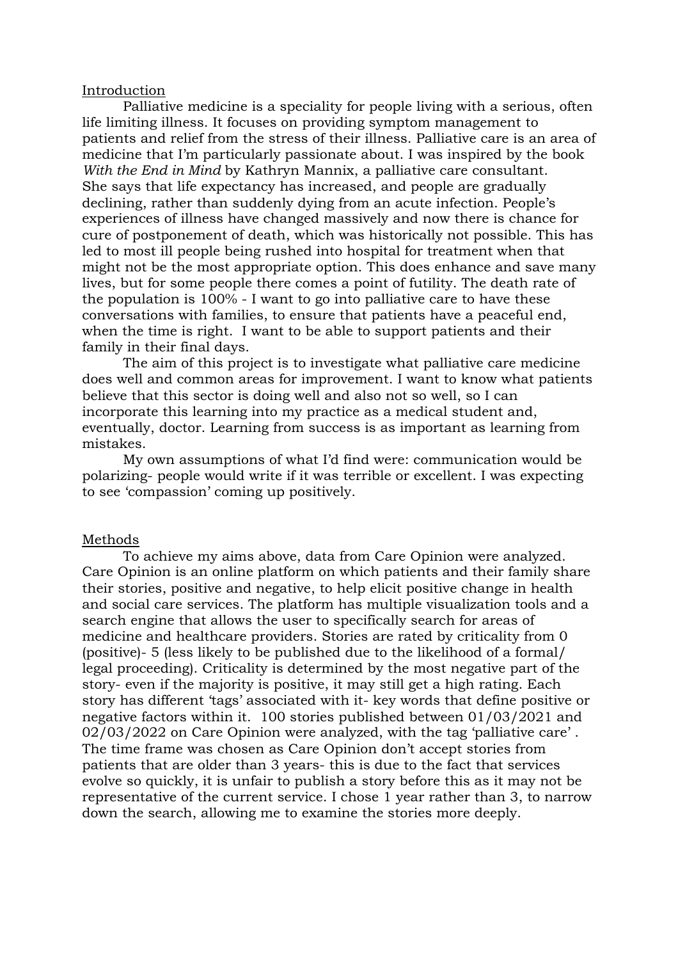## Introduction

Palliative medicine is a speciality for people living with a serious, often life limiting illness. It focuses on providing symptom management to patients and relief from the stress of their illness. Palliative care is an area of medicine that I'm particularly passionate about. I was inspired by the book *With the End in Mind* by Kathryn Mannix, a palliative care consultant. She says that life expectancy has increased, and people are gradually declining, rather than suddenly dying from an acute infection. People's experiences of illness have changed massively and now there is chance for cure of postponement of death, which was historically not possible. This has led to most ill people being rushed into hospital for treatment when that might not be the most appropriate option. This does enhance and save many lives, but for some people there comes a point of futility. The death rate of the population is 100% - I want to go into palliative care to have these conversations with families, to ensure that patients have a peaceful end, when the time is right. I want to be able to support patients and their family in their final days.

The aim of this project is to investigate what palliative care medicine does well and common areas for improvement. I want to know what patients believe that this sector is doing well and also not so well, so I can incorporate this learning into my practice as a medical student and, eventually, doctor. Learning from success is as important as learning from mistakes.

My own assumptions of what I'd find were: communication would be polarizing- people would write if it was terrible or excellent. I was expecting to see 'compassion' coming up positively.

## Methods

To achieve my aims above, data from Care Opinion were analyzed. Care Opinion is an online platform on which patients and their family share their stories, positive and negative, to help elicit positive change in health and social care services. The platform has multiple visualization tools and a search engine that allows the user to specifically search for areas of medicine and healthcare providers. Stories are rated by criticality from 0 (positive)- 5 (less likely to be published due to the likelihood of a formal/ legal proceeding). Criticality is determined by the most negative part of the story- even if the majority is positive, it may still get a high rating. Each story has different 'tags' associated with it- key words that define positive or negative factors within it. 100 stories published between 01/03/2021 and 02/03/2022 on Care Opinion were analyzed, with the tag 'palliative care' . The time frame was chosen as Care Opinion don't accept stories from patients that are older than 3 years- this is due to the fact that services evolve so quickly, it is unfair to publish a story before this as it may not be representative of the current service. I chose 1 year rather than 3, to narrow down the search, allowing me to examine the stories more deeply.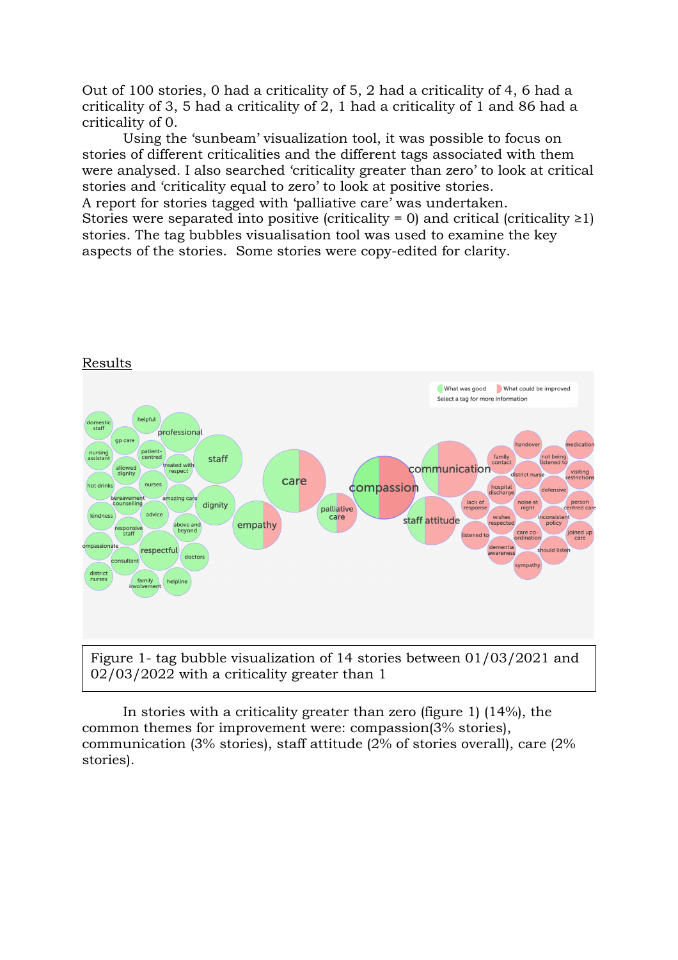Out of 100 stories, 0 had a criticality of 5, 2 had a criticality of 4, 6 had a criticality of 3, 5 had a criticality of 2, 1 had a criticality of 1 and 86 had a criticality of 0.

Using the 'sunbeam' visualization tool, it was possible to focus on stories of different criticalities and the different tags associated with them were analysed. I also searched 'criticality greater than zero' to look at critical stories and 'criticality equal to zero' to look at positive stories.

A report for stories tagged with 'palliative care' was undertaken. Stories were separated into positive (criticality = 0) and critical (criticality  $\geq$ 1) stories. The tag bubbles visualisation tool was used to examine the key aspects of the stories. Some stories were copy-edited for clarity.



In stories with a criticality greater than zero (figure 1) (14%), the common themes for improvement were: compassion(3% stories), communication (3% stories), staff attitude (2% of stories overall), care (2% stories).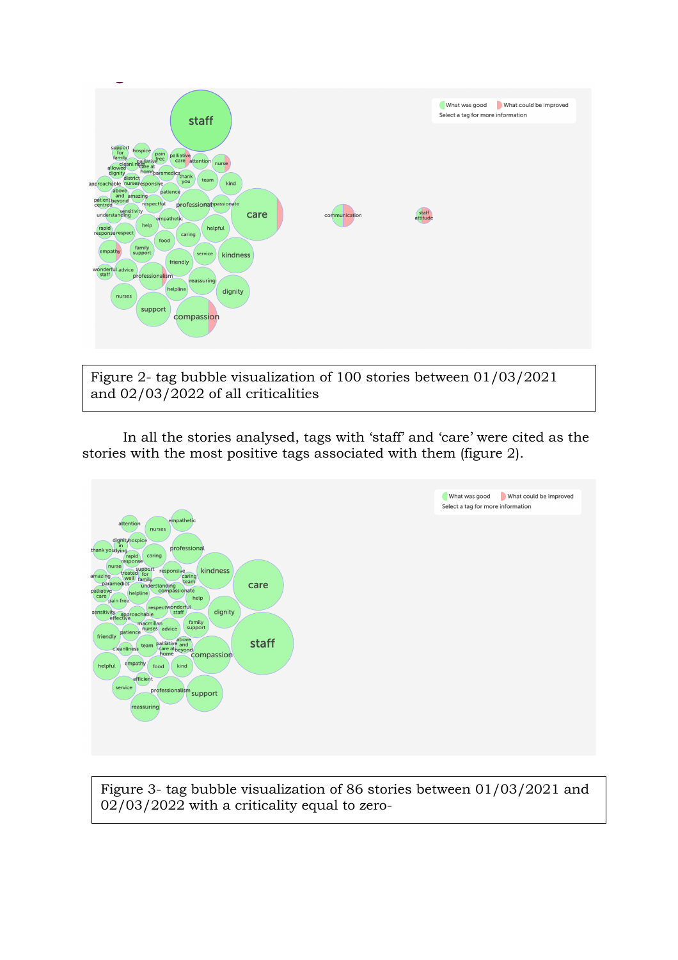

Figure 2- tag bubble visualization of 100 stories between 01/03/2021 and 02/03/2022 of all criticalities

In all the stories analysed, tags with 'staff' and 'care' were cited as the stories with the most positive tags associated with them (figure 2).



Figure 3- tag bubble visualization of 86 stories between 01/03/2021 and 02/03/2022 with a criticality equal to zero-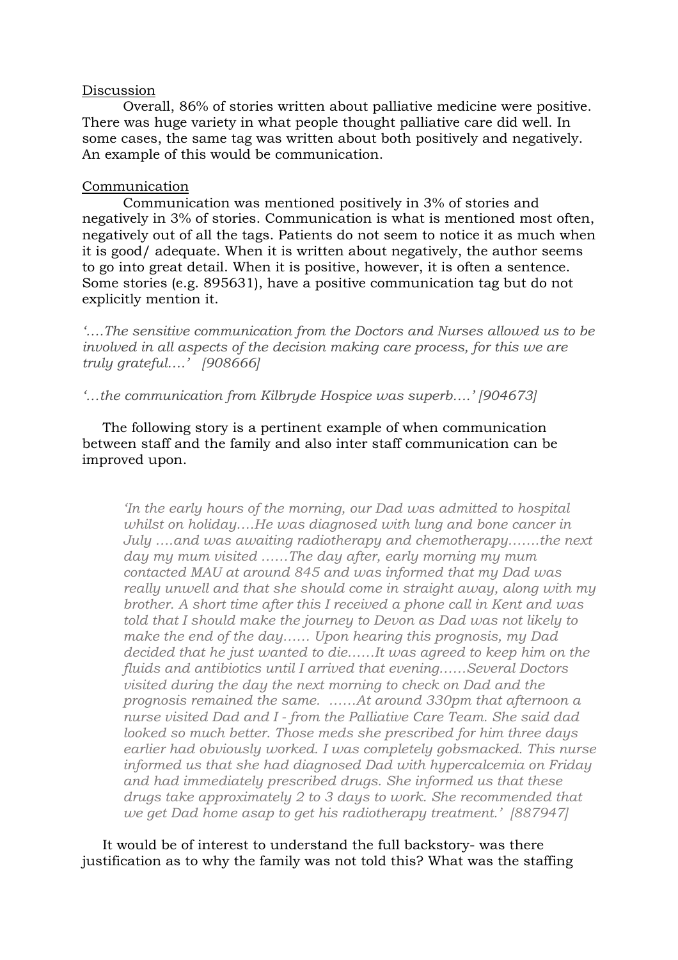# Discussion

Overall, 86% of stories written about palliative medicine were positive. There was huge variety in what people thought palliative care did well. In some cases, the same tag was written about both positively and negatively. An example of this would be communication.

## Communication

Communication was mentioned positively in 3% of stories and negatively in 3% of stories. Communication is what is mentioned most often, negatively out of all the tags. Patients do not seem to notice it as much when it is good/ adequate. When it is written about negatively, the author seems to go into great detail. When it is positive, however, it is often a sentence. Some stories (e.g. 895631), have a positive communication tag but do not explicitly mention it.

*'….The sensitive communication from the Doctors and Nurses allowed us to be involved in all aspects of the decision making care process, for this we are truly grateful….' [908666]*

*'…the communication from Kilbryde Hospice was superb….' [904673]* 

The following story is a pertinent example of when communication between staff and the family and also inter staff communication can be improved upon.

*'In the early hours of the morning, our Dad was admitted to hospital whilst on holiday….He was diagnosed with lung and bone cancer in July ….and was awaiting radiotherapy and chemotherapy…….the next day my mum visited ……The day after, early morning my mum contacted MAU at around 845 and was informed that my Dad was really unwell and that she should come in straight away, along with my brother. A short time after this I received a phone call in Kent and was told that I should make the journey to Devon as Dad was not likely to make the end of the day…… Upon hearing this prognosis, my Dad decided that he just wanted to die……It was agreed to keep him on the fluids and antibiotics until I arrived that evening……Several Doctors visited during the day the next morning to check on Dad and the prognosis remained the same. ……At around 330pm that afternoon a nurse visited Dad and I - from the Palliative Care Team. She said dad looked so much better. Those meds she prescribed for him three days earlier had obviously worked. I was completely gobsmacked. This nurse informed us that she had diagnosed Dad with hypercalcemia on Friday and had immediately prescribed drugs. She informed us that these drugs take approximately 2 to 3 days to work. She recommended that we get Dad home asap to get his radiotherapy treatment.' [887947]*

It would be of interest to understand the full backstory- was there justification as to why the family was not told this? What was the staffing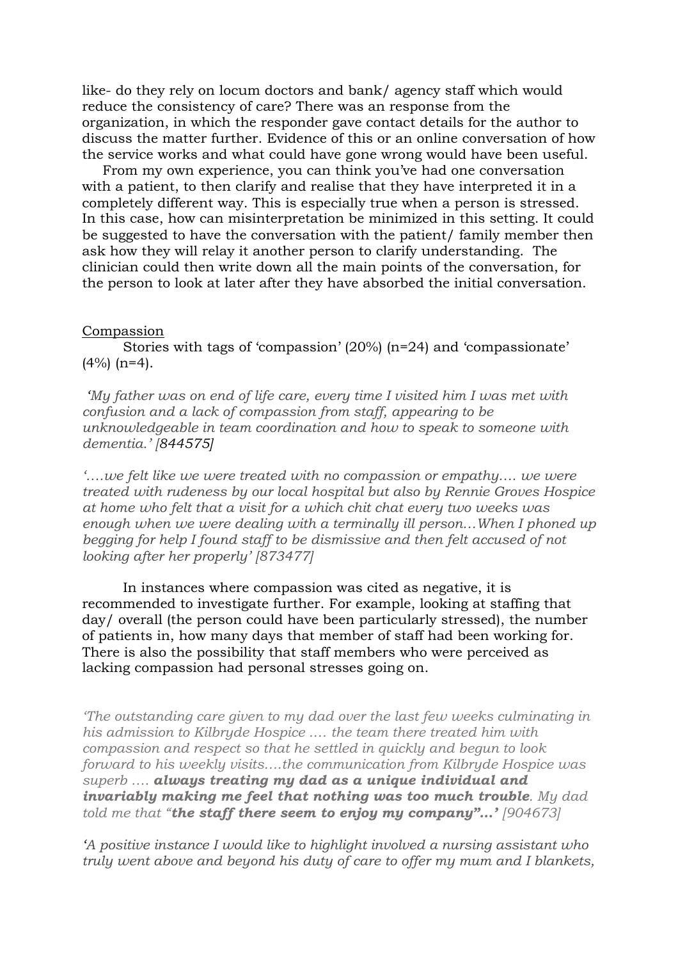like- do they rely on locum doctors and bank/ agency staff which would reduce the consistency of care? There was an response from the organization, in which the responder gave contact details for the author to discuss the matter further. Evidence of this or an online conversation of how the service works and what could have gone wrong would have been useful.

From my own experience, you can think you've had one conversation with a patient, to then clarify and realise that they have interpreted it in a completely different way. This is especially true when a person is stressed. In this case, how can misinterpretation be minimized in this setting. It could be suggested to have the conversation with the patient/ family member then ask how they will relay it another person to clarify understanding. The clinician could then write down all the main points of the conversation, for the person to look at later after they have absorbed the initial conversation.

## Compassion

Stories with tags of 'compassion' (20%) (n=24) and 'compassionate'  $(4\%)$  (n=4).

*'My father was on end of life care, every time I visited him I was met with confusion and a lack of compassion from staff, appearing to be unknowledgeable in team coordination and how to speak to someone with dementia.' [844575]*

*'….we felt like we were treated with no compassion or empathy…. we were treated with rudeness by our local hospital but also by Rennie Groves Hospice at home who felt that a visit for a which chit chat every two weeks was enough when we were dealing with a terminally ill person…When I phoned up begging for help I found staff to be dismissive and then felt accused of not looking after her properly' [873477]*

In instances where compassion was cited as negative, it is recommended to investigate further. For example, looking at staffing that day/ overall (the person could have been particularly stressed), the number of patients in, how many days that member of staff had been working for. There is also the possibility that staff members who were perceived as lacking compassion had personal stresses going on.

*'The outstanding care given to my dad over the last few weeks culminating in his admission to Kilbryde Hospice .… the team there treated him with compassion and respect so that he settled in quickly and begun to look forward to his weekly visits….the communication from Kilbryde Hospice was superb …. always treating my dad as a unique individual and invariably making me feel that nothing was too much trouble. My dad told me that "the staff there seem to enjoy my company"…' [904673]*

*'A positive instance I would like to highlight involved a nursing assistant who truly went above and beyond his duty of care to offer my mum and I blankets,*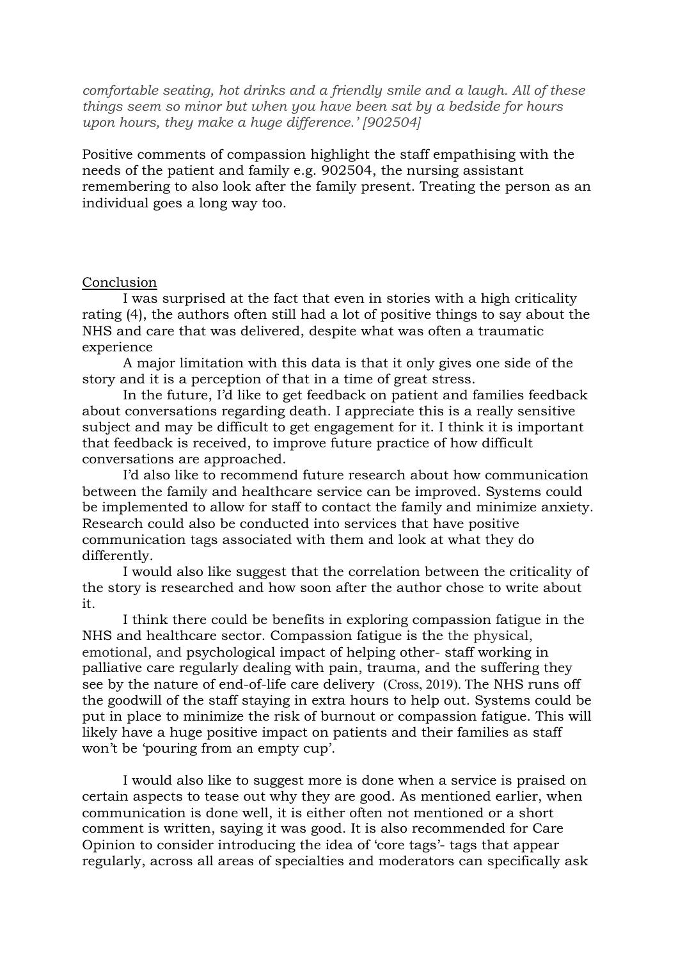*comfortable seating, hot drinks and a friendly smile and a laugh. All of these things seem so minor but when you have been sat by a bedside for hours upon hours, they make a huge difference.' [902504]*

Positive comments of compassion highlight the staff empathising with the needs of the patient and family e.g. 902504, the nursing assistant remembering to also look after the family present. Treating the person as an individual goes a long way too.

# Conclusion

I was surprised at the fact that even in stories with a high criticality rating (4), the authors often still had a lot of positive things to say about the NHS and care that was delivered, despite what was often a traumatic experience

A major limitation with this data is that it only gives one side of the story and it is a perception of that in a time of great stress.

In the future, I'd like to get feedback on patient and families feedback about conversations regarding death. I appreciate this is a really sensitive subject and may be difficult to get engagement for it. I think it is important that feedback is received, to improve future practice of how difficult conversations are approached.

I'd also like to recommend future research about how communication between the family and healthcare service can be improved. Systems could be implemented to allow for staff to contact the family and minimize anxiety. Research could also be conducted into services that have positive communication tags associated with them and look at what they do differently.

I would also like suggest that the correlation between the criticality of the story is researched and how soon after the author chose to write about it.

I think there could be benefits in exploring compassion fatigue in the NHS and healthcare sector. Compassion fatigue is the the physical, emotional, and psychological impact of helping other- staff working in palliative care regularly dealing with pain, trauma, and the suffering they see by the nature of end-of-life care delivery (Cross, 2019). The NHS runs off the goodwill of the staff staying in extra hours to help out. Systems could be put in place to minimize the risk of burnout or compassion fatigue. This will likely have a huge positive impact on patients and their families as staff won't be 'pouring from an empty cup'.

I would also like to suggest more is done when a service is praised on certain aspects to tease out why they are good. As mentioned earlier, when communication is done well, it is either often not mentioned or a short comment is written, saying it was good. It is also recommended for Care Opinion to consider introducing the idea of 'core tags'- tags that appear regularly, across all areas of specialties and moderators can specifically ask